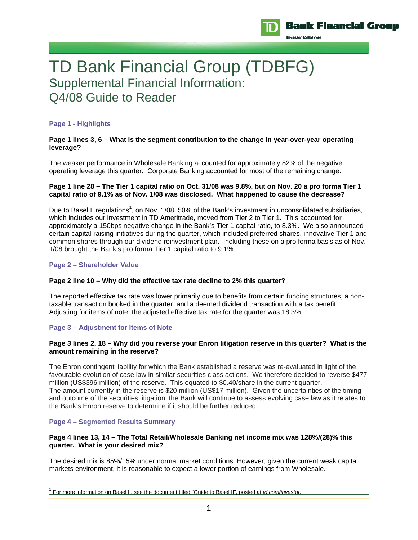

TD Bank Financial Group (TDBFG) Supplemental Financial Information: Q4/08 Guide to Reader

## **Page 1 - Highlights**

### **Page 1 lines 3, 6 – What is the segment contribution to the change in year-over-year operating leverage?**

The weaker performance in Wholesale Banking accounted for approximately 82% of the negative operating leverage this quarter. Corporate Banking accounted for most of the remaining change.

### **Page 1 line 28 – The Tier 1 capital ratio on Oct. 31/08 was 9.8%, but on Nov. 20 a pro forma Tier 1 capital ratio of 9.1% as of Nov. 1/08 was disclosed. What happened to cause the decrease?**

Due to Basel II regulations<sup>1</sup>, on Nov. 1/08, 50% of the Bank's investment in unconsolidated subsidiaries, which includes our investment in TD Ameritrade, moved from Tier 2 to Tier 1. This accounted for approximately a 150bps negative change in the Bank's Tier 1 capital ratio, to 8.3%. We also announced certain capital-raising initiatives during the quarter, which included preferred shares, innovative Tier 1 and common shares through our dividend reinvestment plan. Including these on a pro forma basis as of Nov. 1/08 brought the Bank's pro forma Tier 1 capital ratio to 9.1%.

## **Page 2 – Shareholder Value**

## **Page 2 line 10 – Why did the effective tax rate decline to 2% this quarter?**

The reported effective tax rate was lower primarily due to benefits from certain funding structures, a nontaxable transaction booked in the quarter, and a deemed dividend transaction with a tax benefit. Adjusting for items of note, the adjusted effective tax rate for the quarter was 18.3%.

## **Page 3 – Adjustment for Items of Note**

## **Page 3 lines 2, 18 – Why did you reverse your Enron litigation reserve in this quarter? What is the amount remaining in the reserve?**

The Enron contingent liability for which the Bank established a reserve was re-evaluated in light of the favourable evolution of case law in similar securities class actions. We therefore decided to reverse \$477 million (US\$396 million) of the reserve. This equated to \$0.40/share in the current quarter. The amount currently in the reserve is \$20 million (US\$17 million). Given the uncertainties of the timing and outcome of the securities litigation, the Bank will continue to assess evolving case law as it relates to the Bank's Enron reserve to determine if it should be further reduced.

# **Page 4 – Segmented Results Summary**

 $\overline{a}$ 

## **Page 4 lines 13, 14 – The Total Retail/Wholesale Banking net income mix was 128%/(28)% this quarter. What is your desired mix?**

The desired mix is 85%/15% under normal market conditions. However, given the current weak capital markets environment, it is reasonable to expect a lower portion of earnings from Wholesale.

<sup>1</sup> For more information on Basel II, see the document titled "Guide to Basel II", posted at *td.com/investor.*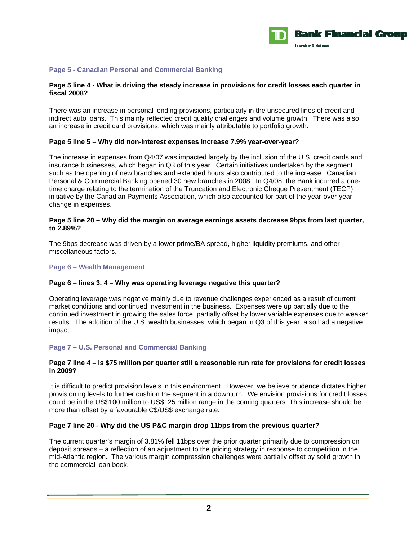

## **Page 5 - Canadian Personal and Commercial Banking**

## **Page 5 line 4 - What is driving the steady increase in provisions for credit losses each quarter in fiscal 2008?**

There was an increase in personal lending provisions, particularly in the unsecured lines of credit and indirect auto loans. This mainly reflected credit quality challenges and volume growth. There was also an increase in credit card provisions, which was mainly attributable to portfolio growth.

#### **Page 5 line 5 – Why did non-interest expenses increase 7.9% year-over-year?**

The increase in expenses from Q4/07 was impacted largely by the inclusion of the U.S. credit cards and insurance businesses, which began in Q3 of this year. Certain initiatives undertaken by the segment such as the opening of new branches and extended hours also contributed to the increase. Canadian Personal & Commercial Banking opened 30 new branches in 2008. In Q4/08, the Bank incurred a onetime charge relating to the termination of the Truncation and Electronic Cheque Presentment (TECP) initiative by the Canadian Payments Association, which also accounted for part of the year-over-year change in expenses.

### **Page 5 line 20 – Why did the margin on average earnings assets decrease 9bps from last quarter, to 2.89%?**

The 9bps decrease was driven by a lower prime/BA spread, higher liquidity premiums, and other miscellaneous factors.

### **Page 6 – Wealth Management**

## **Page 6 – lines 3, 4 – Why was operating leverage negative this quarter?**

Operating leverage was negative mainly due to revenue challenges experienced as a result of current market conditions and continued investment in the business. Expenses were up partially due to the continued investment in growing the sales force, partially offset by lower variable expenses due to weaker results. The addition of the U.S. wealth businesses, which began in Q3 of this year, also had a negative impact.

## **Page 7 – U.S. Personal and Commercial Banking**

#### **Page 7 line 4 – Is \$75 million per quarter still a reasonable run rate for provisions for credit losses in 2009?**

It is difficult to predict provision levels in this environment. However, we believe prudence dictates higher provisioning levels to further cushion the segment in a downturn. We envision provisions for credit losses could be in the US\$100 million to US\$125 million range in the coming quarters. This increase should be more than offset by a favourable C\$/US\$ exchange rate.

## **Page 7 line 20 - Why did the US P&C margin drop 11bps from the previous quarter?**

The current quarter's margin of 3.81% fell 11bps over the prior quarter primarily due to compression on deposit spreads – a reflection of an adjustment to the pricing strategy in response to competition in the mid-Atlantic region. The various margin compression challenges were partially offset by solid growth in the commercial loan book.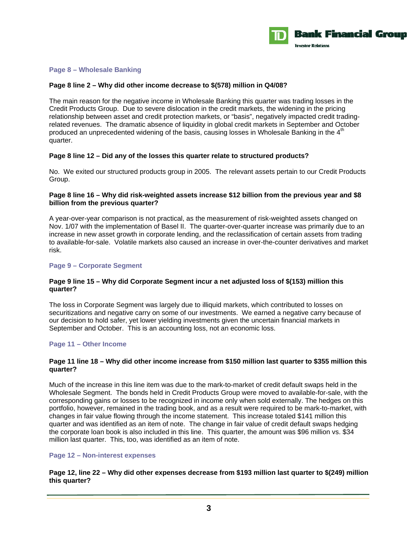

## **Page 8 – Wholesale Banking**

#### **Page 8 line 2 – Why did other income decrease to \$(578) million in Q4/08?**

The main reason for the negative income in Wholesale Banking this quarter was trading losses in the Credit Products Group. Due to severe dislocation in the credit markets, the widening in the pricing relationship between asset and credit protection markets, or "basis", negatively impacted credit tradingrelated revenues. The dramatic absence of liquidity in global credit markets in September and October produced an unprecedented widening of the basis, causing losses in Wholesale Banking in the  $4<sup>th</sup>$ quarter.

#### **Page 8 line 12 – Did any of the losses this quarter relate to structured products?**

No. We exited our structured products group in 2005. The relevant assets pertain to our Credit Products Group.

# **Page 8 line 16 – Why did risk-weighted assets increase \$12 billion from the previous year and \$8 billion from the previous quarter?**

A year-over-year comparison is not practical, as the measurement of risk-weighted assets changed on Nov. 1/07 with the implementation of Basel II. The quarter-over-quarter increase was primarily due to an increase in new asset growth in corporate lending, and the reclassification of certain assets from trading to available-for-sale. Volatile markets also caused an increase in over-the-counter derivatives and market risk.

#### **Page 9 – Corporate Segment**

## **Page 9 line 15 – Why did Corporate Segment incur a net adjusted loss of \$(153) million this quarter?**

The loss in Corporate Segment was largely due to illiquid markets, which contributed to losses on securitizations and negative carry on some of our investments. We earned a negative carry because of our decision to hold safer, yet lower yielding investments given the uncertain financial markets in September and October. This is an accounting loss, not an economic loss.

## **Page 11 – Other Income**

#### **Page 11 line 18 – Why did other income increase from \$150 million last quarter to \$355 million this quarter?**

Much of the increase in this line item was due to the mark-to-market of credit default swaps held in the Wholesale Segment. The bonds held in Credit Products Group were moved to available-for-sale, with the corresponding gains or losses to be recognized in income only when sold externally. The hedges on this portfolio, however, remained in the trading book, and as a result were required to be mark-to-market, with changes in fair value flowing through the income statement. This increase totaled \$141 million this quarter and was identified as an item of note. The change in fair value of credit default swaps hedging the corporate loan book is also included in this line. This quarter, the amount was \$96 million vs. \$34 million last quarter. This, too, was identified as an item of note.

#### **Page 12 – Non-interest expenses**

**Page 12, line 22 – Why did other expenses decrease from \$193 million last quarter to \$(249) million this quarter?**